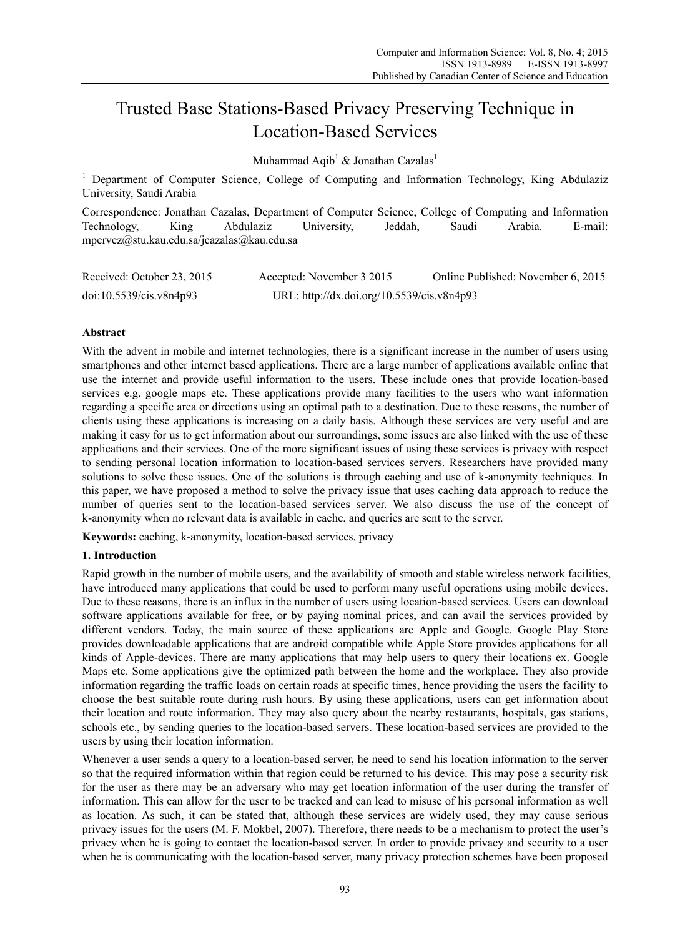# Trusted Base Stations-Based Privacy Preserving Technique in Location-Based Services

Muhammad Aqib<sup>1</sup> & Jonathan Cazalas<sup>1</sup>

<sup>1</sup> Department of Computer Science, College of Computing and Information Technology, King Abdulaziz University, Saudi Arabia

Correspondence: Jonathan Cazalas, Department of Computer Science, College of Computing and Information Technology, King Abdulaziz University, Jeddah, Saudi Arabia. E-mail: mpervez@stu.kau.edu.sa/jcazalas@kau.edu.sa

| Received: October 23, 2015 | Accepted: November 3 2015                  | Online Published: November 6, 2015 |
|----------------------------|--------------------------------------------|------------------------------------|
| doi:10.5539/cis.v8n4p93    | URL: http://dx.doi.org/10.5539/cis.v8n4p93 |                                    |

# **Abstract**

With the advent in mobile and internet technologies, there is a significant increase in the number of users using smartphones and other internet based applications. There are a large number of applications available online that use the internet and provide useful information to the users. These include ones that provide location-based services e.g. google maps etc. These applications provide many facilities to the users who want information regarding a specific area or directions using an optimal path to a destination. Due to these reasons, the number of clients using these applications is increasing on a daily basis. Although these services are very useful and are making it easy for us to get information about our surroundings, some issues are also linked with the use of these applications and their services. One of the more significant issues of using these services is privacy with respect to sending personal location information to location-based services servers. Researchers have provided many solutions to solve these issues. One of the solutions is through caching and use of k-anonymity techniques. In this paper, we have proposed a method to solve the privacy issue that uses caching data approach to reduce the number of queries sent to the location-based services server. We also discuss the use of the concept of k-anonymity when no relevant data is available in cache, and queries are sent to the server.

**Keywords:** caching, k-anonymity, location-based services, privacy

## **1. Introduction**

Rapid growth in the number of mobile users, and the availability of smooth and stable wireless network facilities, have introduced many applications that could be used to perform many useful operations using mobile devices. Due to these reasons, there is an influx in the number of users using location-based services. Users can download software applications available for free, or by paying nominal prices, and can avail the services provided by different vendors. Today, the main source of these applications are Apple and Google. Google Play Store provides downloadable applications that are android compatible while Apple Store provides applications for all kinds of Apple-devices. There are many applications that may help users to query their locations ex. Google Maps etc. Some applications give the optimized path between the home and the workplace. They also provide information regarding the traffic loads on certain roads at specific times, hence providing the users the facility to choose the best suitable route during rush hours. By using these applications, users can get information about their location and route information. They may also query about the nearby restaurants, hospitals, gas stations, schools etc., by sending queries to the location-based servers. These location-based services are provided to the users by using their location information.

Whenever a user sends a query to a location-based server, he need to send his location information to the server so that the required information within that region could be returned to his device. This may pose a security risk for the user as there may be an adversary who may get location information of the user during the transfer of information. This can allow for the user to be tracked and can lead to misuse of his personal information as well as location. As such, it can be stated that, although these services are widely used, they may cause serious privacy issues for the users (M. F. Mokbel, 2007). Therefore, there needs to be a mechanism to protect the user's privacy when he is going to contact the location-based server. In order to provide privacy and security to a user when he is communicating with the location-based server, many privacy protection schemes have been proposed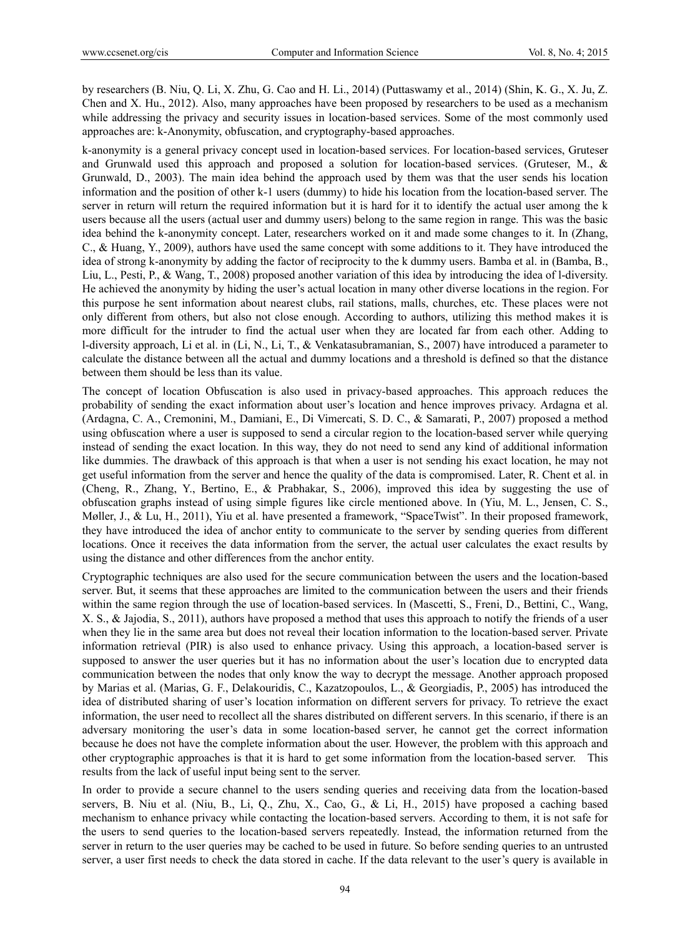by researchers (B. Niu, Q. Li, X. Zhu, G. Cao and H. Li., 2014) (Puttaswamy et al., 2014) (Shin, K. G., X. Ju, Z. Chen and X. Hu., 2012). Also, many approaches have been proposed by researchers to be used as a mechanism while addressing the privacy and security issues in location-based services. Some of the most commonly used approaches are: k-Anonymity, obfuscation, and cryptography-based approaches.

k-anonymity is a general privacy concept used in location-based services. For location-based services, Gruteser and Grunwald used this approach and proposed a solution for location-based services. (Gruteser, M., & Grunwald, D., 2003). The main idea behind the approach used by them was that the user sends his location information and the position of other k-1 users (dummy) to hide his location from the location-based server. The server in return will return the required information but it is hard for it to identify the actual user among the k users because all the users (actual user and dummy users) belong to the same region in range. This was the basic idea behind the k-anonymity concept. Later, researchers worked on it and made some changes to it. In (Zhang, C., & Huang, Y., 2009), authors have used the same concept with some additions to it. They have introduced the idea of strong k-anonymity by adding the factor of reciprocity to the k dummy users. Bamba et al. in (Bamba, B., Liu, L., Pesti, P., & Wang, T., 2008) proposed another variation of this idea by introducing the idea of l-diversity. He achieved the anonymity by hiding the user's actual location in many other diverse locations in the region. For this purpose he sent information about nearest clubs, rail stations, malls, churches, etc. These places were not only different from others, but also not close enough. According to authors, utilizing this method makes it is more difficult for the intruder to find the actual user when they are located far from each other. Adding to l-diversity approach, Li et al. in (Li, N., Li, T., & Venkatasubramanian, S., 2007) have introduced a parameter to calculate the distance between all the actual and dummy locations and a threshold is defined so that the distance between them should be less than its value.

The concept of location Obfuscation is also used in privacy-based approaches. This approach reduces the probability of sending the exact information about user's location and hence improves privacy. Ardagna et al. (Ardagna, C. A., Cremonini, M., Damiani, E., Di Vimercati, S. D. C., & Samarati, P., 2007) proposed a method using obfuscation where a user is supposed to send a circular region to the location-based server while querying instead of sending the exact location. In this way, they do not need to send any kind of additional information like dummies. The drawback of this approach is that when a user is not sending his exact location, he may not get useful information from the server and hence the quality of the data is compromised. Later, R. Chent et al. in (Cheng, R., Zhang, Y., Bertino, E., & Prabhakar, S., 2006), improved this idea by suggesting the use of obfuscation graphs instead of using simple figures like circle mentioned above. In (Yiu, M. L., Jensen, C. S., Møller, J., & Lu, H., 2011), Yiu et al. have presented a framework, "SpaceTwist". In their proposed framework, they have introduced the idea of anchor entity to communicate to the server by sending queries from different locations. Once it receives the data information from the server, the actual user calculates the exact results by using the distance and other differences from the anchor entity.

Cryptographic techniques are also used for the secure communication between the users and the location-based server. But, it seems that these approaches are limited to the communication between the users and their friends within the same region through the use of location-based services. In (Mascetti, S., Freni, D., Bettini, C., Wang, X. S., & Jajodia, S., 2011), authors have proposed a method that uses this approach to notify the friends of a user when they lie in the same area but does not reveal their location information to the location-based server. Private information retrieval (PIR) is also used to enhance privacy. Using this approach, a location-based server is supposed to answer the user queries but it has no information about the user's location due to encrypted data communication between the nodes that only know the way to decrypt the message. Another approach proposed by Marias et al. (Marias, G. F., Delakouridis, C., Kazatzopoulos, L., & Georgiadis, P., 2005) has introduced the idea of distributed sharing of user's location information on different servers for privacy. To retrieve the exact information, the user need to recollect all the shares distributed on different servers. In this scenario, if there is an adversary monitoring the user's data in some location-based server, he cannot get the correct information because he does not have the complete information about the user. However, the problem with this approach and other cryptographic approaches is that it is hard to get some information from the location-based server. This results from the lack of useful input being sent to the server.

In order to provide a secure channel to the users sending queries and receiving data from the location-based servers, B. Niu et al. (Niu, B., Li, Q., Zhu, X., Cao, G., & Li, H., 2015) have proposed a caching based mechanism to enhance privacy while contacting the location-based servers. According to them, it is not safe for the users to send queries to the location-based servers repeatedly. Instead, the information returned from the server in return to the user queries may be cached to be used in future. So before sending queries to an untrusted server, a user first needs to check the data stored in cache. If the data relevant to the user's query is available in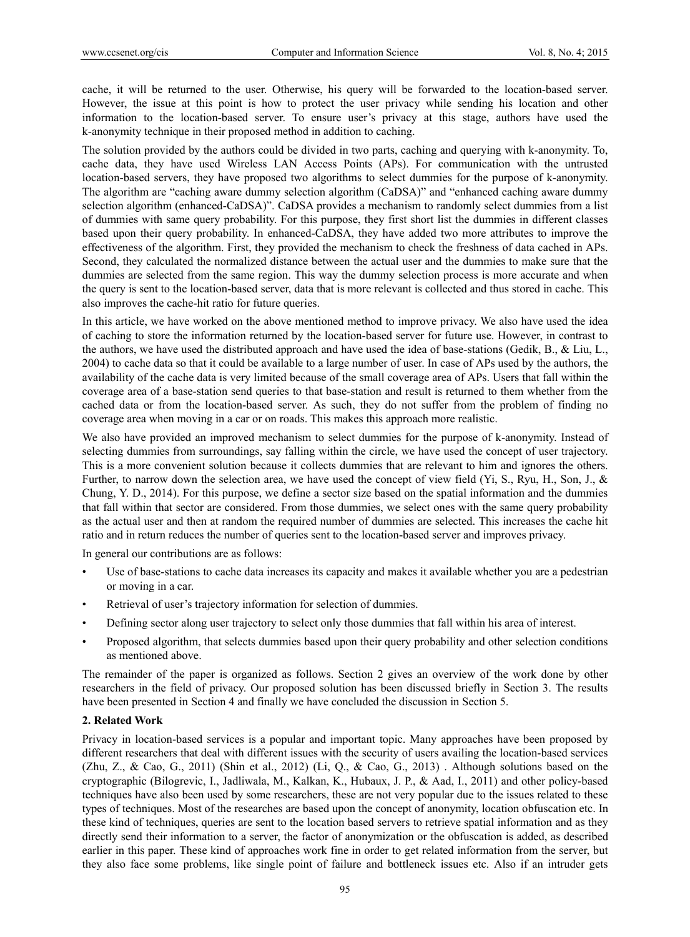cache, it will be returned to the user. Otherwise, his query will be forwarded to the location-based server. However, the issue at this point is how to protect the user privacy while sending his location and other information to the location-based server. To ensure user's privacy at this stage, authors have used the k-anonymity technique in their proposed method in addition to caching.

The solution provided by the authors could be divided in two parts, caching and querying with k-anonymity. To, cache data, they have used Wireless LAN Access Points (APs). For communication with the untrusted location-based servers, they have proposed two algorithms to select dummies for the purpose of k-anonymity. The algorithm are "caching aware dummy selection algorithm (CaDSA)" and "enhanced caching aware dummy selection algorithm (enhanced-CaDSA)". CaDSA provides a mechanism to randomly select dummies from a list of dummies with same query probability. For this purpose, they first short list the dummies in different classes based upon their query probability. In enhanced-CaDSA, they have added two more attributes to improve the effectiveness of the algorithm. First, they provided the mechanism to check the freshness of data cached in APs. Second, they calculated the normalized distance between the actual user and the dummies to make sure that the dummies are selected from the same region. This way the dummy selection process is more accurate and when the query is sent to the location-based server, data that is more relevant is collected and thus stored in cache. This also improves the cache-hit ratio for future queries.

In this article, we have worked on the above mentioned method to improve privacy. We also have used the idea of caching to store the information returned by the location-based server for future use. However, in contrast to the authors, we have used the distributed approach and have used the idea of base-stations (Gedik, B., & Liu, L., 2004) to cache data so that it could be available to a large number of user. In case of APs used by the authors, the availability of the cache data is very limited because of the small coverage area of APs. Users that fall within the coverage area of a base-station send queries to that base-station and result is returned to them whether from the cached data or from the location-based server. As such, they do not suffer from the problem of finding no coverage area when moving in a car or on roads. This makes this approach more realistic.

We also have provided an improved mechanism to select dummies for the purpose of k-anonymity. Instead of selecting dummies from surroundings, say falling within the circle, we have used the concept of user trajectory. This is a more convenient solution because it collects dummies that are relevant to him and ignores the others. Further, to narrow down the selection area, we have used the concept of view field (Yi, S., Ryu, H., Son, J., & Chung, Y. D., 2014). For this purpose, we define a sector size based on the spatial information and the dummies that fall within that sector are considered. From those dummies, we select ones with the same query probability as the actual user and then at random the required number of dummies are selected. This increases the cache hit ratio and in return reduces the number of queries sent to the location-based server and improves privacy.

In general our contributions are as follows:

- Use of base-stations to cache data increases its capacity and makes it available whether you are a pedestrian or moving in a car.
- Retrieval of user's trajectory information for selection of dummies.
- Defining sector along user trajectory to select only those dummies that fall within his area of interest.
- Proposed algorithm, that selects dummies based upon their query probability and other selection conditions as mentioned above.

The remainder of the paper is organized as follows. Section 2 gives an overview of the work done by other researchers in the field of privacy. Our proposed solution has been discussed briefly in Section 3. The results have been presented in Section 4 and finally we have concluded the discussion in Section 5.

## **2. Related Work**

Privacy in location-based services is a popular and important topic. Many approaches have been proposed by different researchers that deal with different issues with the security of users availing the location-based services (Zhu, Z., & Cao, G., 2011) (Shin et al., 2012) (Li, Q., & Cao, G., 2013) . Although solutions based on the cryptographic (Bilogrevic, I., Jadliwala, M., Kalkan, K., Hubaux, J. P., & Aad, I., 2011) and other policy-based techniques have also been used by some researchers, these are not very popular due to the issues related to these types of techniques. Most of the researches are based upon the concept of anonymity, location obfuscation etc. In these kind of techniques, queries are sent to the location based servers to retrieve spatial information and as they directly send their information to a server, the factor of anonymization or the obfuscation is added, as described earlier in this paper. These kind of approaches work fine in order to get related information from the server, but they also face some problems, like single point of failure and bottleneck issues etc. Also if an intruder gets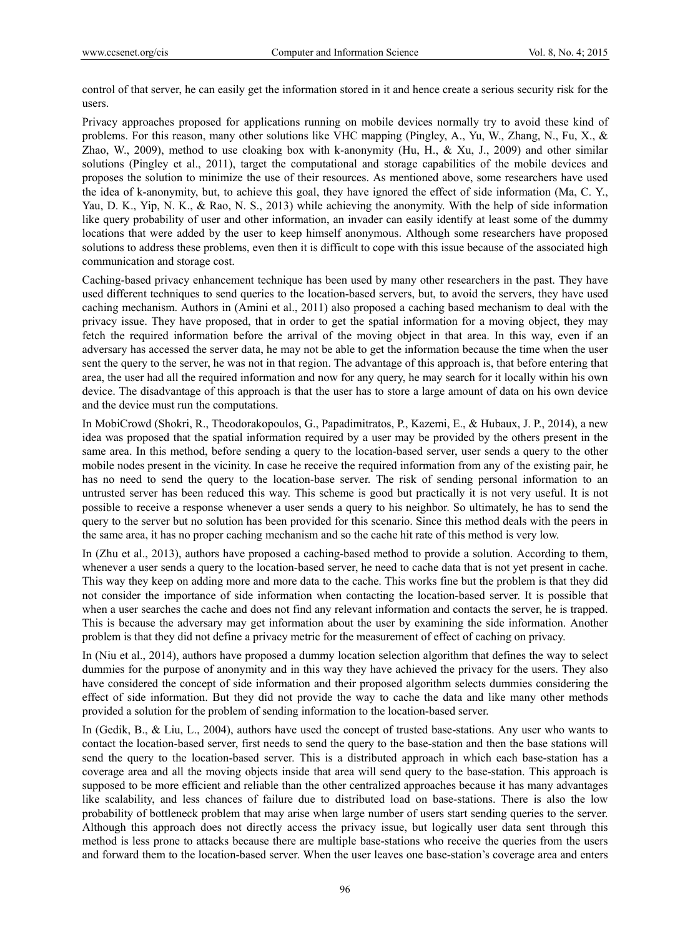control of that server, he can easily get the information stored in it and hence create a serious security risk for the users.

Privacy approaches proposed for applications running on mobile devices normally try to avoid these kind of problems. For this reason, many other solutions like VHC mapping (Pingley, A., Yu, W., Zhang, N., Fu, X., & Zhao, W., 2009), method to use cloaking box with k-anonymity (Hu, H., & Xu, J., 2009) and other similar solutions (Pingley et al., 2011), target the computational and storage capabilities of the mobile devices and proposes the solution to minimize the use of their resources. As mentioned above, some researchers have used the idea of k-anonymity, but, to achieve this goal, they have ignored the effect of side information (Ma, C. Y., Yau, D. K., Yip, N. K., & Rao, N. S., 2013) while achieving the anonymity. With the help of side information like query probability of user and other information, an invader can easily identify at least some of the dummy locations that were added by the user to keep himself anonymous. Although some researchers have proposed solutions to address these problems, even then it is difficult to cope with this issue because of the associated high communication and storage cost.

Caching-based privacy enhancement technique has been used by many other researchers in the past. They have used different techniques to send queries to the location-based servers, but, to avoid the servers, they have used caching mechanism. Authors in (Amini et al., 2011) also proposed a caching based mechanism to deal with the privacy issue. They have proposed, that in order to get the spatial information for a moving object, they may fetch the required information before the arrival of the moving object in that area. In this way, even if an adversary has accessed the server data, he may not be able to get the information because the time when the user sent the query to the server, he was not in that region. The advantage of this approach is, that before entering that area, the user had all the required information and now for any query, he may search for it locally within his own device. The disadvantage of this approach is that the user has to store a large amount of data on his own device and the device must run the computations.

In MobiCrowd (Shokri, R., Theodorakopoulos, G., Papadimitratos, P., Kazemi, E., & Hubaux, J. P., 2014), a new idea was proposed that the spatial information required by a user may be provided by the others present in the same area. In this method, before sending a query to the location-based server, user sends a query to the other mobile nodes present in the vicinity. In case he receive the required information from any of the existing pair, he has no need to send the query to the location-base server. The risk of sending personal information to an untrusted server has been reduced this way. This scheme is good but practically it is not very useful. It is not possible to receive a response whenever a user sends a query to his neighbor. So ultimately, he has to send the query to the server but no solution has been provided for this scenario. Since this method deals with the peers in the same area, it has no proper caching mechanism and so the cache hit rate of this method is very low.

In (Zhu et al., 2013), authors have proposed a caching-based method to provide a solution. According to them, whenever a user sends a query to the location-based server, he need to cache data that is not yet present in cache. This way they keep on adding more and more data to the cache. This works fine but the problem is that they did not consider the importance of side information when contacting the location-based server. It is possible that when a user searches the cache and does not find any relevant information and contacts the server, he is trapped. This is because the adversary may get information about the user by examining the side information. Another problem is that they did not define a privacy metric for the measurement of effect of caching on privacy.

In (Niu et al., 2014), authors have proposed a dummy location selection algorithm that defines the way to select dummies for the purpose of anonymity and in this way they have achieved the privacy for the users. They also have considered the concept of side information and their proposed algorithm selects dummies considering the effect of side information. But they did not provide the way to cache the data and like many other methods provided a solution for the problem of sending information to the location-based server.

In (Gedik, B., & Liu, L., 2004), authors have used the concept of trusted base-stations. Any user who wants to contact the location-based server, first needs to send the query to the base-station and then the base stations will send the query to the location-based server. This is a distributed approach in which each base-station has a coverage area and all the moving objects inside that area will send query to the base-station. This approach is supposed to be more efficient and reliable than the other centralized approaches because it has many advantages like scalability, and less chances of failure due to distributed load on base-stations. There is also the low probability of bottleneck problem that may arise when large number of users start sending queries to the server. Although this approach does not directly access the privacy issue, but logically user data sent through this method is less prone to attacks because there are multiple base-stations who receive the queries from the users and forward them to the location-based server. When the user leaves one base-station's coverage area and enters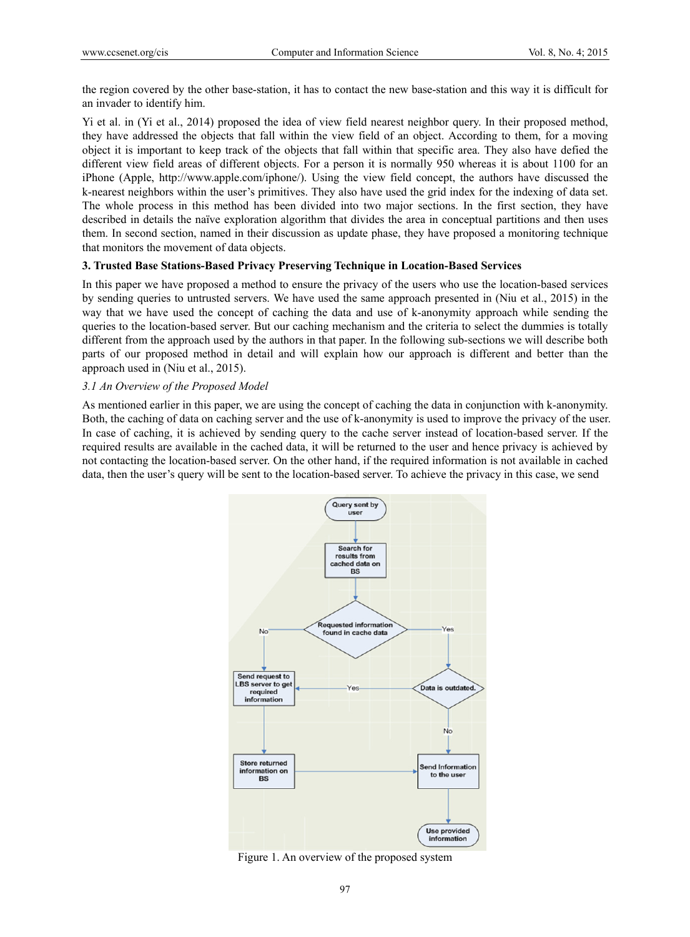the region covered by the other base-station, it has to contact the new base-station and this way it is difficult for an invader to identify him.

Yi et al. in (Yi et al., 2014) proposed the idea of view field nearest neighbor query. In their proposed method, they have addressed the objects that fall within the view field of an object. According to them, for a moving object it is important to keep track of the objects that fall within that specific area. They also have defied the different view field areas of different objects. For a person it is normally 950 whereas it is about 1100 for an iPhone (Apple, http://www.apple.com/iphone/). Using the view field concept, the authors have discussed the k-nearest neighbors within the user's primitives. They also have used the grid index for the indexing of data set. The whole process in this method has been divided into two major sections. In the first section, they have described in details the naïve exploration algorithm that divides the area in conceptual partitions and then uses them. In second section, named in their discussion as update phase, they have proposed a monitoring technique that monitors the movement of data objects.

## **3. Trusted Base Stations-Based Privacy Preserving Technique in Location-Based Services**

In this paper we have proposed a method to ensure the privacy of the users who use the location-based services by sending queries to untrusted servers. We have used the same approach presented in (Niu et al., 2015) in the way that we have used the concept of caching the data and use of k-anonymity approach while sending the queries to the location-based server. But our caching mechanism and the criteria to select the dummies is totally different from the approach used by the authors in that paper. In the following sub-sections we will describe both parts of our proposed method in detail and will explain how our approach is different and better than the approach used in (Niu et al., 2015).

# *3.1 An Overview of the Proposed Model*

As mentioned earlier in this paper, we are using the concept of caching the data in conjunction with k-anonymity. Both, the caching of data on caching server and the use of k-anonymity is used to improve the privacy of the user. In case of caching, it is achieved by sending query to the cache server instead of location-based server. If the required results are available in the cached data, it will be returned to the user and hence privacy is achieved by not contacting the location-based server. On the other hand, if the required information is not available in cached data, then the user's query will be sent to the location-based server. To achieve the privacy in this case, we send



Figure 1. An overview of the proposed system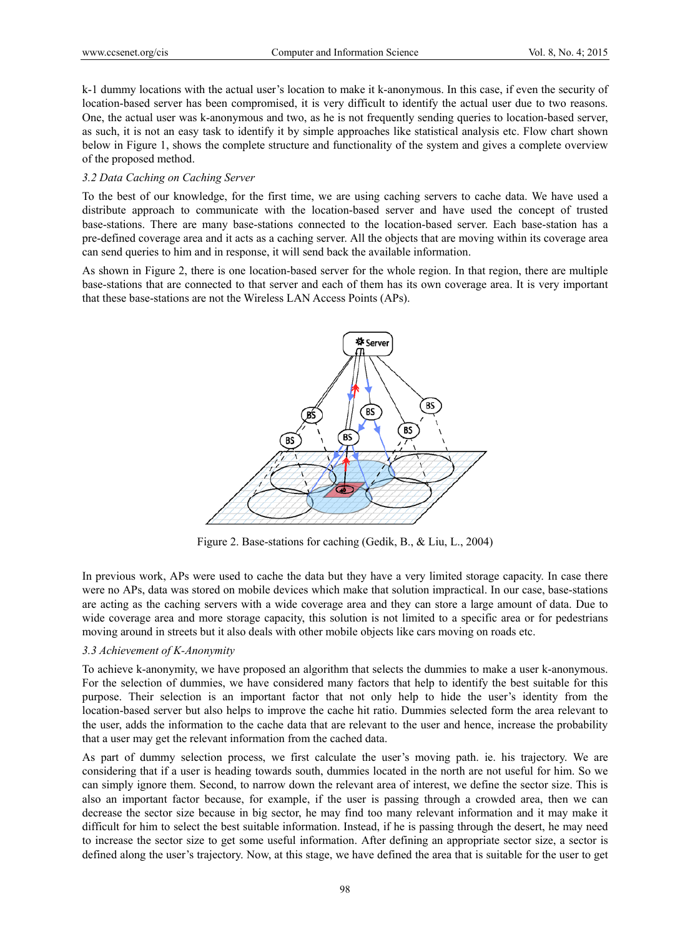k-1 dummy locations with the actual user's location to make it k-anonymous. In this case, if even the security of location-based server has been compromised, it is very difficult to identify the actual user due to two reasons. One, the actual user was k-anonymous and two, as he is not frequently sending queries to location-based server, as such, it is not an easy task to identify it by simple approaches like statistical analysis etc. Flow chart shown below in Figure 1, shows the complete structure and functionality of the system and gives a complete overview of the proposed method.

#### *3.2 Data Caching on Caching Server*

To the best of our knowledge, for the first time, we are using caching servers to cache data. We have used a distribute approach to communicate with the location-based server and have used the concept of trusted base-stations. There are many base-stations connected to the location-based server. Each base-station has a pre-defined coverage area and it acts as a caching server. All the objects that are moving within its coverage area can send queries to him and in response, it will send back the available information.

As shown in Figure 2, there is one location-based server for the whole region. In that region, there are multiple base-stations that are connected to that server and each of them has its own coverage area. It is very important that these base-stations are not the Wireless LAN Access Points (APs).



Figure 2. Base-stations for caching (Gedik, B., & Liu, L., 2004)

In previous work, APs were used to cache the data but they have a very limited storage capacity. In case there were no APs, data was stored on mobile devices which make that solution impractical. In our case, base-stations are acting as the caching servers with a wide coverage area and they can store a large amount of data. Due to wide coverage area and more storage capacity, this solution is not limited to a specific area or for pedestrians moving around in streets but it also deals with other mobile objects like cars moving on roads etc.

## *3.3 Achievement of K-Anonymity*

To achieve k-anonymity, we have proposed an algorithm that selects the dummies to make a user k-anonymous. For the selection of dummies, we have considered many factors that help to identify the best suitable for this purpose. Their selection is an important factor that not only help to hide the user's identity from the location-based server but also helps to improve the cache hit ratio. Dummies selected form the area relevant to the user, adds the information to the cache data that are relevant to the user and hence, increase the probability that a user may get the relevant information from the cached data.

As part of dummy selection process, we first calculate the user's moving path. ie. his trajectory. We are considering that if a user is heading towards south, dummies located in the north are not useful for him. So we can simply ignore them. Second, to narrow down the relevant area of interest, we define the sector size. This is also an important factor because, for example, if the user is passing through a crowded area, then we can decrease the sector size because in big sector, he may find too many relevant information and it may make it difficult for him to select the best suitable information. Instead, if he is passing through the desert, he may need to increase the sector size to get some useful information. After defining an appropriate sector size, a sector is defined along the user's trajectory. Now, at this stage, we have defined the area that is suitable for the user to get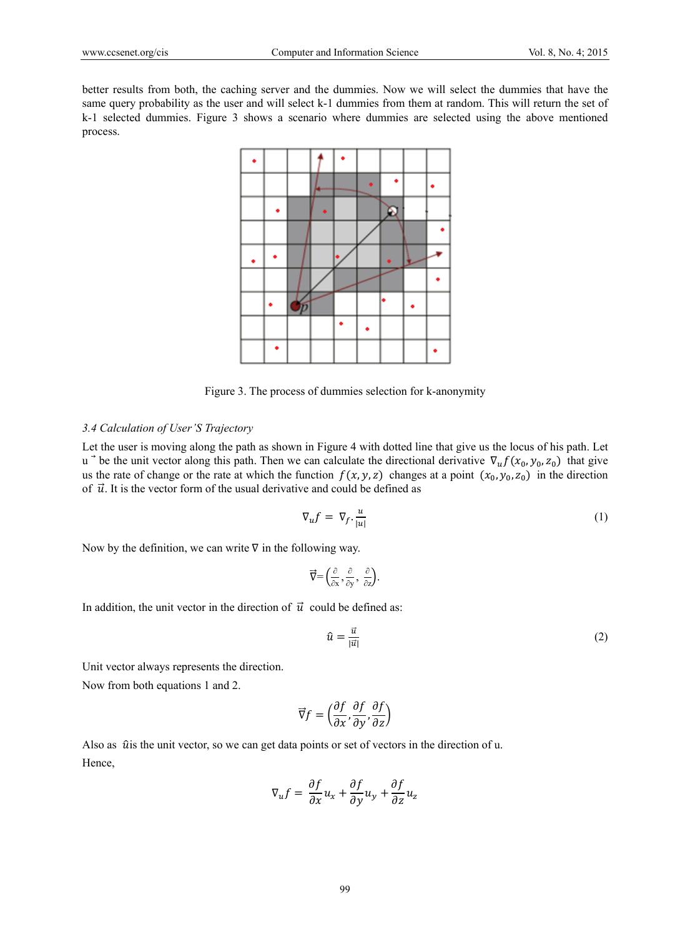better results from both, the caching server and the dummies. Now we will select the dummies that have the same query probability as the user and will select k-1 dummies from them at random. This will return the set of k-1 selected dummies. Figure 3 shows a scenario where dummies are selected using the above mentioned process.



Figure 3. The process of dummies selection for k-anonymity

## *3.4 Calculation of User'S Trajectory*

Let the user is moving along the path as shown in Figure 4 with dotted line that give us the locus of his path. Let u<sup>-</sup> be the unit vector along this path. Then we can calculate the directional derivative  $\nabla_u f(x_0, y_0, z_0)$  that give us the rate of change or the rate at which the function  $f(x, y, z)$  changes at a point  $(x_0, y_0, z_0)$  in the direction of  $\vec{u}$ . It is the vector form of the usual derivative and could be defined as

$$
\nabla_u f = \nabla_f \cdot \frac{u}{|u|} \tag{1}
$$

Now by the definition, we can write  $\nabla$  in the following way.

$$
\vec{\nabla} = \left(\frac{\partial}{\partial x}, \frac{\partial}{\partial y}, \frac{\partial}{\partial z}\right).
$$

In addition, the unit vector in the direction of  $\vec{u}$  could be defined as:

$$
\hat{u} = \frac{\vec{u}}{|\vec{u}|} \tag{2}
$$

Unit vector always represents the direction.

Now from both equations 1 and 2.

$$
\vec{\nabla}f = \left(\frac{\partial f}{\partial x}, \frac{\partial f}{\partial y}, \frac{\partial f}{\partial z}\right)
$$

Also as  $\hat{u}$  is the unit vector, so we can get data points or set of vectors in the direction of u. Hence,

$$
\nabla_u f = \frac{\partial f}{\partial x} u_x + \frac{\partial f}{\partial y} u_y + \frac{\partial f}{\partial z} u_z
$$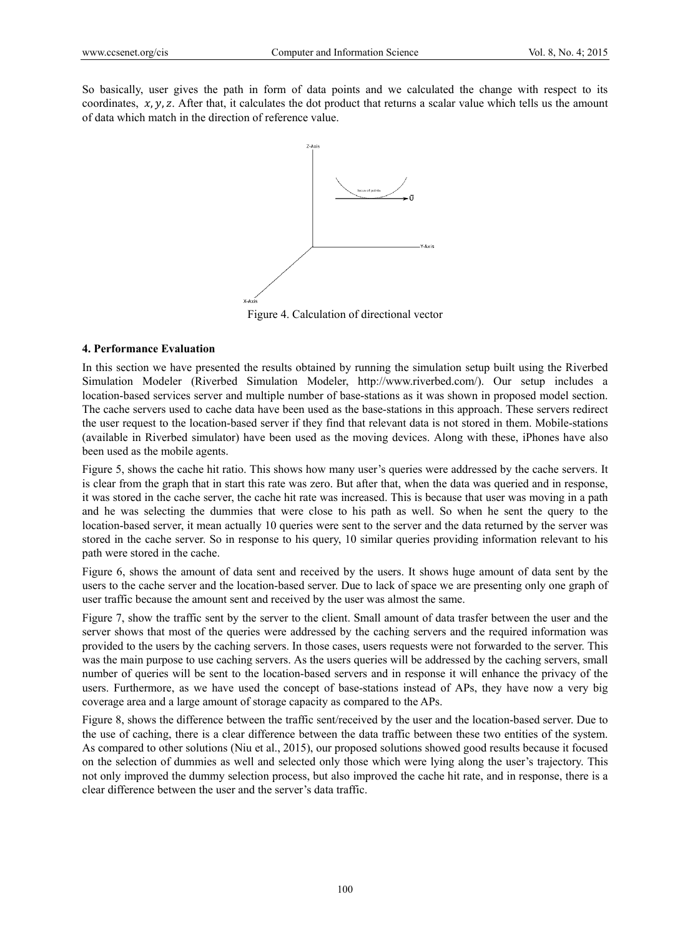So basically, user gives the path in form of data points and we calculated the change with respect to its coordinates,  $x, y, z$ . After that, it calculates the dot product that returns a scalar value which tells us the amount of data which match in the direction of reference value.



Figure 4. Calculation of directional vector

## **4. Performance Evaluation**

In this section we have presented the results obtained by running the simulation setup built using the Riverbed Simulation Modeler (Riverbed Simulation Modeler, http://www.riverbed.com/). Our setup includes a location-based services server and multiple number of base-stations as it was shown in proposed model section. The cache servers used to cache data have been used as the base-stations in this approach. These servers redirect the user request to the location-based server if they find that relevant data is not stored in them. Mobile-stations (available in Riverbed simulator) have been used as the moving devices. Along with these, iPhones have also been used as the mobile agents.

Figure 5, shows the cache hit ratio. This shows how many user's queries were addressed by the cache servers. It is clear from the graph that in start this rate was zero. But after that, when the data was queried and in response, it was stored in the cache server, the cache hit rate was increased. This is because that user was moving in a path and he was selecting the dummies that were close to his path as well. So when he sent the query to the location-based server, it mean actually 10 queries were sent to the server and the data returned by the server was stored in the cache server. So in response to his query, 10 similar queries providing information relevant to his path were stored in the cache.

Figure 6, shows the amount of data sent and received by the users. It shows huge amount of data sent by the users to the cache server and the location-based server. Due to lack of space we are presenting only one graph of user traffic because the amount sent and received by the user was almost the same.

Figure 7, show the traffic sent by the server to the client. Small amount of data trasfer between the user and the server shows that most of the queries were addressed by the caching servers and the required information was provided to the users by the caching servers. In those cases, users requests were not forwarded to the server. This was the main purpose to use caching servers. As the users queries will be addressed by the caching servers, small number of queries will be sent to the location-based servers and in response it will enhance the privacy of the users. Furthermore, as we have used the concept of base-stations instead of APs, they have now a very big coverage area and a large amount of storage capacity as compared to the APs.

Figure 8, shows the difference between the traffic sent/received by the user and the location-based server. Due to the use of caching, there is a clear difference between the data traffic between these two entities of the system. As compared to other solutions (Niu et al., 2015), our proposed solutions showed good results because it focused on the selection of dummies as well and selected only those which were lying along the user's trajectory. This not only improved the dummy selection process, but also improved the cache hit rate, and in response, there is a clear difference between the user and the server's data traffic.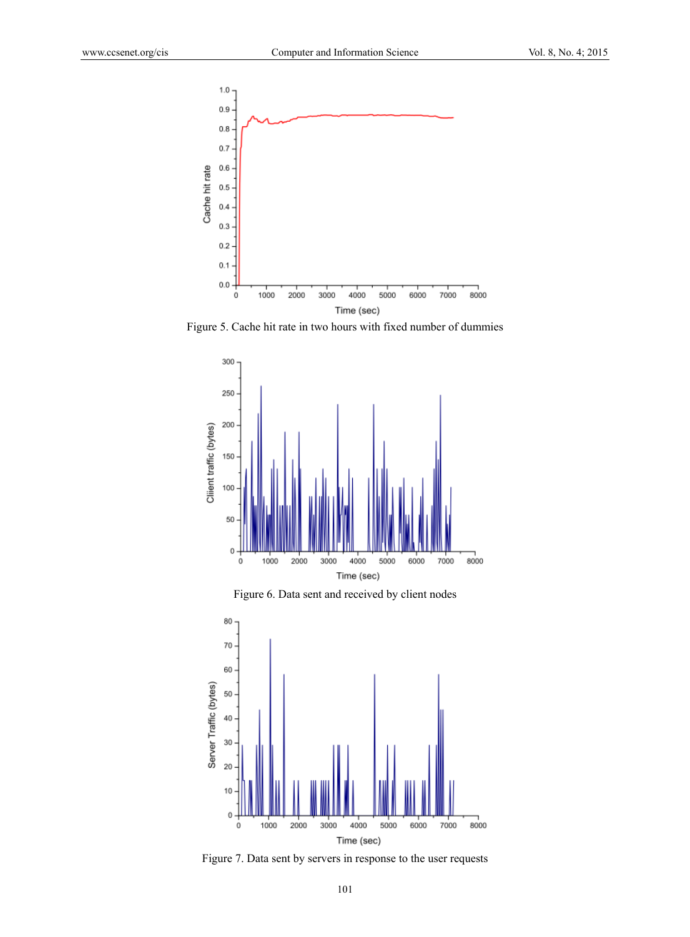

Figure 5. Cache hit rate in two hours with fixed number of dummies



Figure 6. Data sent and received by client nodes



Figure 7. Data sent by servers in response to the user requests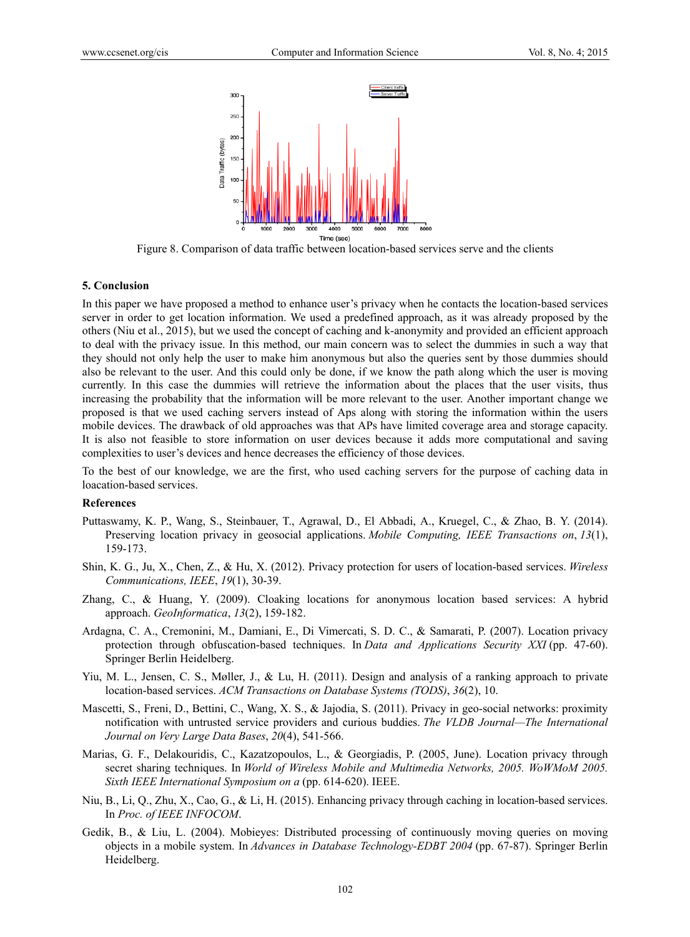

Figure 8. Comparison of data traffic between location-based services serve and the clients

#### **5. Conclusion**

In this paper we have proposed a method to enhance user's privacy when he contacts the location-based services server in order to get location information. We used a predefined approach, as it was already proposed by the others (Niu et al., 2015), but we used the concept of caching and k-anonymity and provided an efficient approach to deal with the privacy issue. In this method, our main concern was to select the dummies in such a way that they should not only help the user to make him anonymous but also the queries sent by those dummies should also be relevant to the user. And this could only be done, if we know the path along which the user is moving currently. In this case the dummies will retrieve the information about the places that the user visits, thus increasing the probability that the information will be more relevant to the user. Another important change we proposed is that we used caching servers instead of Aps along with storing the information within the users mobile devices. The drawback of old approaches was that APs have limited coverage area and storage capacity. It is also not feasible to store information on user devices because it adds more computational and saving complexities to user's devices and hence decreases the efficiency of those devices.

To the best of our knowledge, we are the first, who used caching servers for the purpose of caching data in loacation-based services.

#### **References**

- Puttaswamy, K. P., Wang, S., Steinbauer, T., Agrawal, D., El Abbadi, A., Kruegel, C., & Zhao, B. Y. (2014). Preserving location privacy in geosocial applications. *Mobile Computing, IEEE Transactions on*, *13*(1), 159-173.
- Shin, K. G., Ju, X., Chen, Z., & Hu, X. (2012). Privacy protection for users of location-based services. *Wireless Communications, IEEE*, *19*(1), 30-39.
- Zhang, C., & Huang, Y. (2009). Cloaking locations for anonymous location based services: A hybrid approach. *GeoInformatica*, *13*(2), 159-182.
- Ardagna, C. A., Cremonini, M., Damiani, E., Di Vimercati, S. D. C., & Samarati, P. (2007). Location privacy protection through obfuscation-based techniques. In *Data and Applications Security XXI* (pp. 47-60). Springer Berlin Heidelberg.
- Yiu, M. L., Jensen, C. S., Møller, J., & Lu, H. (2011). Design and analysis of a ranking approach to private location-based services. *ACM Transactions on Database Systems (TODS)*, *36*(2), 10.
- Mascetti, S., Freni, D., Bettini, C., Wang, X. S., & Jajodia, S. (2011). Privacy in geo-social networks: proximity notification with untrusted service providers and curious buddies. *The VLDB Journal—The International Journal on Very Large Data Bases*, *20*(4), 541-566.
- Marias, G. F., Delakouridis, C., Kazatzopoulos, L., & Georgiadis, P. (2005, June). Location privacy through secret sharing techniques. In *World of Wireless Mobile and Multimedia Networks, 2005. WoWMoM 2005. Sixth IEEE International Symposium on a* (pp. 614-620). IEEE.
- Niu, B., Li, Q., Zhu, X., Cao, G., & Li, H. (2015). Enhancing privacy through caching in location-based services. In *Proc. of IEEE INFOCOM*.
- Gedik, B., & Liu, L. (2004). Mobieyes: Distributed processing of continuously moving queries on moving objects in a mobile system. In *Advances in Database Technology-EDBT 2004* (pp. 67-87). Springer Berlin Heidelberg.